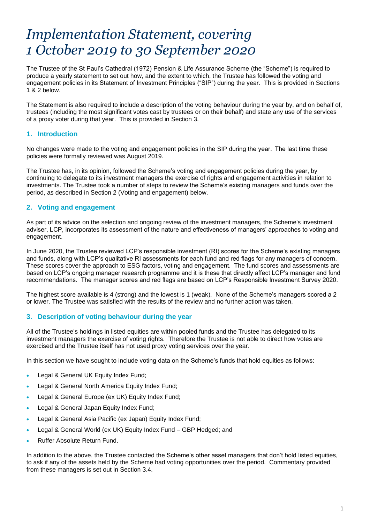# *Implementation Statement, covering 1 October 2019 to 30 September 2020*

The Trustee of the St Paul's Cathedral (1972) Pension & Life Assurance Scheme (the "Scheme") is required to produce a yearly statement to set out how, and the extent to which, the Trustee has followed the voting and engagement policies in its Statement of Investment Principles ("SIP") during the year. This is provided in Sections 1 & 2 below.

The Statement is also required to include a description of the voting behaviour during the year by, and on behalf of, trustees (including the most significant votes cast by trustees or on their behalf) and state any use of the services of a proxy voter during that year. This is provided in Section 3.

# **1. Introduction**

No changes were made to the voting and engagement policies in the SIP during the year.  The last time these policies were formally reviewed was August 2019.

The Trustee has, in its opinion, followed the Scheme's voting and engagement policies during the year, by continuing to delegate to its investment managers the exercise of rights and engagement activities in relation to investments. The Trustee took a number of steps to review the Scheme's existing managers and funds over the period, as described in Section 2 (Voting and engagement) below.

# **2. Voting and engagement**

As part of its advice on the selection and ongoing review of the investment managers, the Scheme's investment adviser, LCP, incorporates its assessment of the nature and effectiveness of managers' approaches to voting and engagement.

In June 2020, the Trustee reviewed LCP's responsible investment (RI) scores for the Scheme's existing managers and funds, along with LCP's qualitative RI assessments for each fund and red flags for any managers of concern. These scores cover the approach to ESG factors, voting and engagement. The fund scores and assessments are based on LCP's ongoing manager research programme and it is these that directly affect LCP's manager and fund recommendations. The manager scores and red flags are based on LCP's Responsible Investment Survey 2020.

The highest score available is 4 (strong) and the lowest is 1 (weak). None of the Scheme's managers scored a 2 or lower. The Trustee was satisfied with the results of the review and no further action was taken.

# **3. Description of voting behaviour during the year**

All of the Trustee's holdings in listed equities are within pooled funds and the Trustee has delegated to its investment managers the exercise of voting rights. Therefore the Trustee is not able to direct how votes are exercised and the Trustee itself has not used proxy voting services over the year.

In this section we have sought to include voting data on the Scheme's funds that hold equities as follows:

- Legal & General UK Equity Index Fund;
- **Legal & General North America Equity Index Fund:**
- Legal & General Europe (ex UK) Equity Index Fund;
- Legal & General Japan Equity Index Fund;
- Legal & General Asia Pacific (ex Japan) Equity Index Fund;
- Legal & General World (ex UK) Equity Index Fund GBP Hedged; and
- Ruffer Absolute Return Fund.

In addition to the above, the Trustee contacted the Scheme's other asset managers that don't hold listed equities, to ask if any of the assets held by the Scheme had voting opportunities over the period. Commentary provided from these managers is set out in Section 3.4.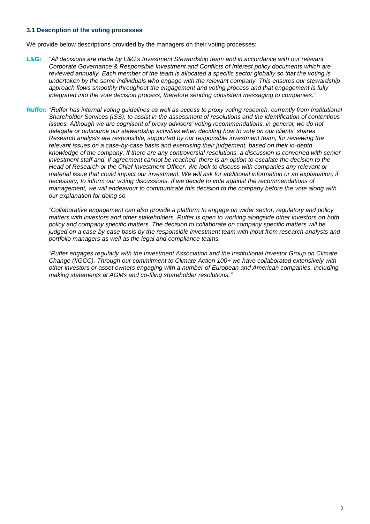#### **3.1 Description of the voting processes**

We provide below descriptions provided by the managers on their voting processes:

- **L&G:** *"All decisions are made by L&G's Investment Stewardship team and in accordance with our relevant Corporate Governance & Responsible Investment and Conflicts of Interest policy documents which are reviewed annually. Each member of the team is allocated a specific sector globally so that the voting is undertaken by the same individuals who engage with the relevant company. This ensures our stewardship approach flows smoothly throughout the engagement and voting process and that engagement is fully integrated into the vote decision process, therefore sending consistent messaging to companies."*
- **Ruffer:** *"Ruffer has internal voting guidelines as well as access to proxy voting research, currently from Institutional Shareholder Services (ISS), to assist in the assessment of resolutions and the identification of contentious issues. Although we are cognisant of proxy advisers' voting recommendations, in general, we do not delegate or outsource our stewardship activities when deciding how to vote on our clients' shares. Research analysts are responsible, supported by our responsible investment team, for reviewing the relevant issues on a case-by-case basis and exercising their judgement, based on their in-depth knowledge of the company. If there are any controversial resolutions, a discussion is convened with senior*  investment staff and, if agreement cannot be reached, there is an option to escalate the decision to the *Head of Research or the Chief Investment Officer. We look to discuss with companies any relevant or material issue that could impact our investment. We will ask for additional information or an explanation, if necessary, to inform our voting discussions. If we decide to vote against the recommendations of management, we will endeavour to communicate this decision to the company before the vote along with our explanation for doing so.*

*"Collaborative engagement can also provide a platform to engage on wider sector, regulatory and policy matters with investors and other stakeholders. Ruffer is open to working alongside other investors on both policy and company specific matters. The decision to collaborate on company specific matters will be judged on a case-by-case basis by the responsible investment team with input from research analysts and portfolio managers as well as the legal and compliance teams.* 

*"Ruffer engages regularly with the Investment Association and the Institutional Investor Group on Climate Change (IIGCC). Through our commitment to Climate Action 100+ we have collaborated extensively with other investors or asset owners engaging with a number of European and American companies, including making statements at AGMs and co-filing shareholder resolutions."*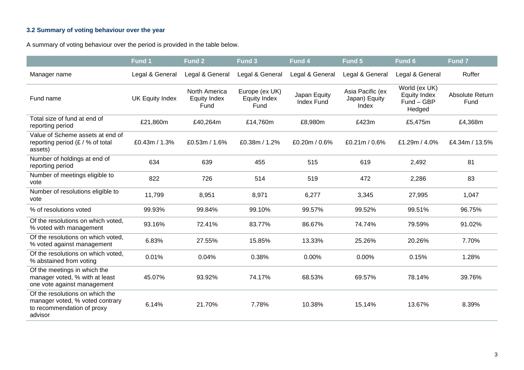# **3.2 Summary of voting behaviour over the year**

A summary of voting behaviour over the period is provided in the table below.

|                                                                                                             | Fund 1          | Fund 2                                       | Fund 3                                        | Fund <sub>4</sub>          | Fund 5                                     | Fund 6                                                       | Fund 7                  |
|-------------------------------------------------------------------------------------------------------------|-----------------|----------------------------------------------|-----------------------------------------------|----------------------------|--------------------------------------------|--------------------------------------------------------------|-------------------------|
| Manager name                                                                                                | Legal & General | Legal & General                              | Legal & General                               | Legal & General            | Legal & General                            | Legal & General                                              | Ruffer                  |
| Fund name                                                                                                   | UK Equity Index | North America<br><b>Equity Index</b><br>Fund | Europe (ex UK)<br><b>Equity Index</b><br>Fund | Japan Equity<br>Index Fund | Asia Pacific (ex<br>Japan) Equity<br>Index | World (ex UK)<br><b>Equity Index</b><br>Fund - GBP<br>Hedged | Absolute Return<br>Fund |
| Total size of fund at end of<br>reporting period                                                            | £21,860m        | £40,264m                                     | £14,760m                                      | £8,980m                    | £423m                                      | £5,475m                                                      | £4,368m                 |
| Value of Scheme assets at end of<br>reporting period $(E / \%)$ of total<br>assets)                         | £0.43m / 1.3%   | £0.53m / 1.6%                                | £0.38m / 1.2%                                 | £0.20m / 0.6%              | £0.21m / 0.6%                              | £1.29m / 4.0%                                                | £4.34m / 13.5%          |
| Number of holdings at end of<br>reporting period                                                            | 634             | 639                                          | 455                                           | 515                        | 619                                        | 2,492                                                        | 81                      |
| Number of meetings eligible to<br>vote                                                                      | 822             | 726                                          | 514                                           | 519                        | 472                                        | 2,286                                                        | 83                      |
| Number of resolutions eligible to<br>vote                                                                   | 11,799          | 8,951                                        | 8,971                                         | 6,277                      | 3,345                                      | 27,995                                                       | 1,047                   |
| % of resolutions voted                                                                                      | 99.93%          | 99.84%                                       | 99.10%                                        | 99.57%                     | 99.52%                                     | 99.51%                                                       | 96.75%                  |
| Of the resolutions on which voted,<br>% voted with management                                               | 93.16%          | 72.41%                                       | 83.77%                                        | 86.67%                     | 74.74%                                     | 79.59%                                                       | 91.02%                  |
| Of the resolutions on which voted,<br>% voted against management                                            | 6.83%           | 27.55%                                       | 15.85%                                        | 13.33%                     | 25.26%                                     | 20.26%                                                       | 7.70%                   |
| Of the resolutions on which voted,<br>% abstained from voting                                               | 0.01%           | 0.04%                                        | 0.38%                                         | 0.00%                      | 0.00%                                      | 0.15%                                                        | 1.28%                   |
| Of the meetings in which the<br>manager voted, % with at least<br>one vote against management               | 45.07%          | 93.92%                                       | 74.17%                                        | 68.53%                     | 69.57%                                     | 78.14%                                                       | 39.76%                  |
| Of the resolutions on which the<br>manager voted, % voted contrary<br>to recommendation of proxy<br>advisor | 6.14%           | 21.70%                                       | 7.78%                                         | 10.38%                     | 15.14%                                     | 13.67%                                                       | 8.39%                   |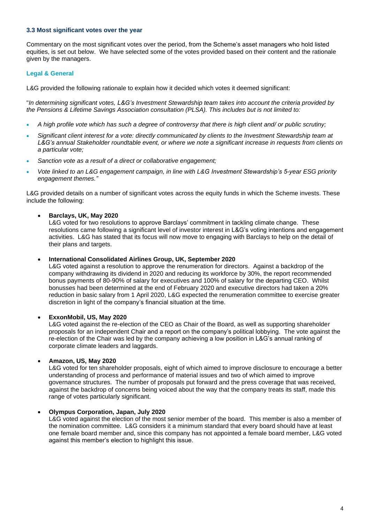#### **3.3 Most significant votes over the year**

Commentary on the most significant votes over the period, from the Scheme's asset managers who hold listed equities, is set out below. We have selected some of the votes provided based on their content and the rationale given by the managers.

## **Legal & General**

L&G provided the following rationale to explain how it decided which votes it deemed significant:

"*In determining significant votes, L&G's Investment Stewardship team takes into account the criteria provided by the Pensions & Lifetime Savings Association consultation (PLSA). This includes but is not limited to:*

- *A high profile vote which has such a degree of controversy that there is high client and/ or public scrutiny;*
- *Significant client interest for a vote: directly communicated by clients to the Investment Stewardship team at L&G's annual Stakeholder roundtable event, or where we note a significant increase in requests from clients on a particular vote;*
- *Sanction vote as a result of a direct or collaborative engagement;*
- *Vote linked to an L&G engagement campaign, in line with L&G Investment Stewardship's 5-year ESG priority engagement themes."*

L&G provided details on a number of significant votes across the equity funds in which the Scheme invests. These include the following:

#### • **Barclays, UK, May 2020**

L&G voted for two resolutions to approve Barclays' commitment in tackling climate change. These resolutions came following a significant level of investor interest in L&G's voting intentions and engagement activities. L&G has stated that its focus will now move to engaging with Barclays to help on the detail of their plans and targets.

#### • **International Consolidated Airlines Group, UK, September 2020**

L&G voted against a resolution to approve the renumeration for directors. Against a backdrop of the company withdrawing its dividend in 2020 and reducing its workforce by 30%, the report recommended bonus payments of 80-90% of salary for executives and 100% of salary for the departing CEO. Whilst bonusses had been determined at the end of February 2020 and executive directors had taken a 20% reduction in basic salary from 1 April 2020, L&G expected the renumeration committee to exercise greater discretion in light of the company's financial situation at the time.

#### • **ExxonMobil, US, May 2020**

L&G voted against the re-election of the CEO as Chair of the Board, as well as supporting shareholder proposals for an independent Chair and a report on the company's political lobbying. The vote against the re-election of the Chair was led by the company achieving a low position in L&G's annual ranking of corporate climate leaders and laggards.

#### • **Amazon, US, May 2020**

L&G voted for ten shareholder proposals, eight of which aimed to improve disclosure to encourage a better understanding of process and performance of material issues and two of which aimed to improve governance structures. The number of proposals put forward and the press coverage that was received, against the backdrop of concerns being voiced about the way that the company treats its staff, made this range of votes particularly significant.

#### • **Olympus Corporation, Japan, July 2020**

L&G voted against the election of the most senior member of the board. This member is also a member of the nomination committee. L&G considers it a minimum standard that every board should have at least one female board member and, since this company has not appointed a female board member, L&G voted against this member's election to highlight this issue.